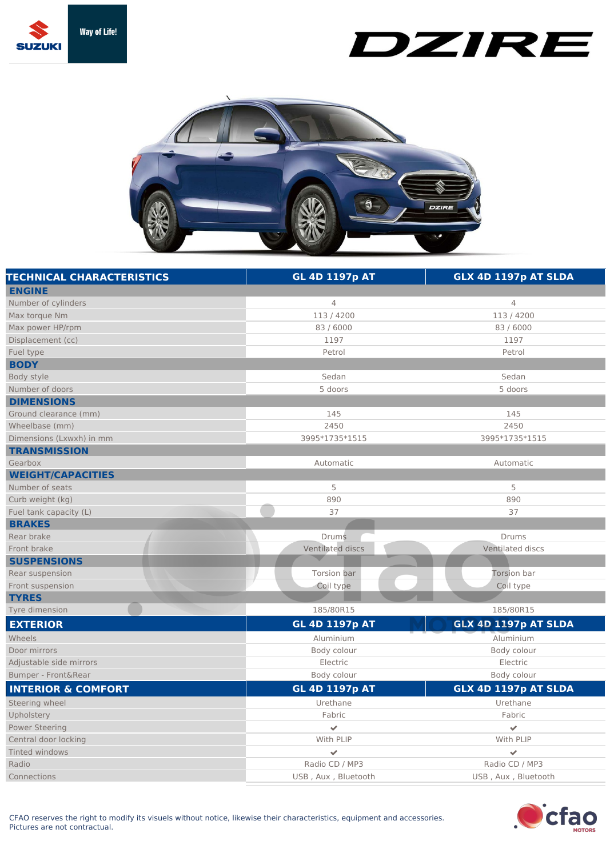

## DZIRE



| <b>TECHNICAL CHARACTERISTICS</b> | <b>GL 4D 1197p AT</b>    | GLX 4D 1197p AT SLDA |
|----------------------------------|--------------------------|----------------------|
| <b>ENGINE</b>                    |                          |                      |
| Number of cylinders              | $\overline{4}$           | 4                    |
| Max torque Nm                    | 113/4200                 | 113/4200             |
| Max power HP/rpm                 | 83 / 6000                | 83 / 6000            |
| Displacement (cc)                | 1197                     | 1197                 |
| Fuel type                        | Petrol                   | Petrol               |
| <b>BODY</b>                      |                          |                      |
| Body style                       | Sedan                    | Sedan                |
| Number of doors                  | 5 doors                  | 5 doors              |
| <b>DIMENSIONS</b>                |                          |                      |
| Ground clearance (mm)            | 145                      | 145                  |
| Wheelbase (mm)                   | 2450                     | 2450                 |
| Dimensions (Lxwxh) in mm         | 3995*1735*1515           | 3995*1735*1515       |
| <b>TRANSMISSION</b>              |                          |                      |
| Gearbox                          | Automatic                | Automatic            |
| <b>WEIGHT/CAPACITIES</b>         |                          |                      |
| Number of seats                  | 5                        | 5                    |
| Curb weight (kg)                 | 890                      | 890                  |
| Fuel tank capacity (L)           | 37                       | 37                   |
| <b>BRAKES</b>                    |                          |                      |
| Rear brake                       | <b>Drums</b>             | Drums                |
| Front brake                      | Ventilated discs         | Ventilated discs     |
| <b>SUSPENSIONS</b>               |                          |                      |
| Rear suspension                  | Torsion bar              | Torsion bar          |
| Front suspension                 | Coil type                | Coil type            |
| <b>TYRES</b>                     |                          |                      |
| Tyre dimension                   | 185/80R15                | 185/80R15            |
| <b>EXTERIOR</b>                  | <b>GL 4D 1197p AT</b>    | GLX 4D 1197p AT SLDA |
| Wheels                           | Aluminium                | Aluminium            |
| Door mirrors                     | Body colour              | Body colour          |
| Adjustable side mirrors          | Electric                 | Electric             |
| Bumper - Front&Rear              | Body colour              | Body colour          |
| <b>INTERIOR &amp; COMFORT</b>    | <b>GL 4D 1197p AT</b>    | GLX 4D 1197p AT SLDA |
| Steering wheel                   | Urethane                 | Urethane             |
| Upholstery                       | Fabric                   | Fabric               |
| <b>Power Steering</b>            | $\mathcal{L}$            | $\checkmark$         |
| Central door locking             | With PLIP                | With PLIP            |
| Tinted windows                   | $\overline{\mathscr{S}}$ | ✔                    |
| Radio                            | Radio CD / MP3           | Radio CD / MP3       |
| Connections                      | USB, Aux, Bluetooth      | USB, Aux, Bluetooth  |